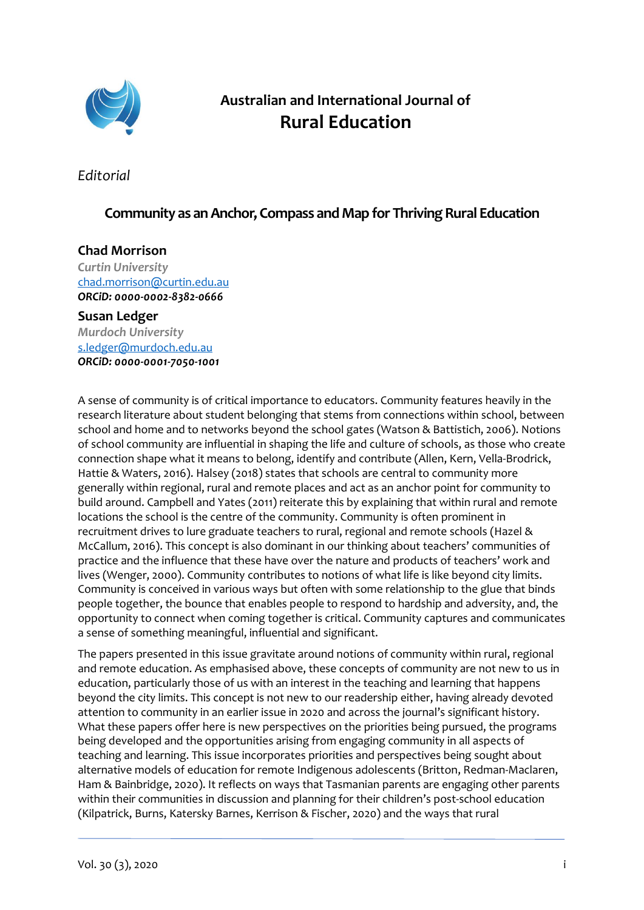

# **Australian and International Journal of Rural Education**

*Editorial*

### **Community as anAnchor, Compass and Map for Thriving Rural Education**

## **Chad Morrison**

*Curtin University*  [chad.morrison@curtin.edu.au](mailto:chad.morrison@curtin.edu.au) *ORCiD[: 0000-0002-8382-0666](https://orcid.org/0000-0002-8382-0666)*

### **Susan Ledger** *Murdoch University* [s.ledger@murdoch.edu.au](mailto:s.ledger@murdoch.edu.au) *ORCiD[: 0000-0001-7050-1001](https://orcid.org/0000-0001-7050-1001)*

A sense of community is of critical importance to educators. Community features heavily in the research literature about student belonging that stems from connections within school, between school and home and to networks beyond the school gates (Watson & Battistich, 2006). Notions of school community are influential in shaping the life and culture of schools, as those who create connection shape what it means to belong, identify and contribute (Allen, Kern, Vella-Brodrick, Hattie & Waters, 2016). Halsey (2018) states that schools are central to community more generally within regional, rural and remote places and act as an anchor point for community to build around. Campbell and Yates (2011) reiterate this by explaining that within rural and remote locations the school is the centre of the community. Community is often prominent in recruitment drives to lure graduate teachers to rural, regional and remote schools (Hazel & McCallum, 2016). This concept is also dominant in our thinking about teachers' communities of practice and the influence that these have over the nature and products of teachers' work and lives (Wenger, 2000). Community contributes to notions of what life is like beyond city limits. Community is conceived in various ways but often with some relationship to the glue that binds people together, the bounce that enables people to respond to hardship and adversity, and, the opportunity to connect when coming together is critical. Community captures and communicates a sense of something meaningful, influential and significant.

The papers presented in this issue gravitate around notions of community within rural, regional and remote education. As emphasised above, these concepts of community are not new to us in education, particularly those of us with an interest in the teaching and learning that happens beyond the city limits. This concept is not new to our readership either, having already devoted attention to community in an earlier issue in 2020 and across the journal's significant history. What these papers offer here is new perspectives on the priorities being pursued, the programs being developed and the opportunities arising from engaging community in all aspects of teaching and learning. This issue incorporates priorities and perspectives being sought about alternative models of education for remote Indigenous adolescents (Britton, Redman-Maclaren, Ham & Bainbridge, 2020). It reflects on ways that Tasmanian parents are engaging other parents within their communities in discussion and planning for their children's post-school education (Kilpatrick, Burns, Katersky Barnes, Kerrison & Fischer, 2020) and the ways that rural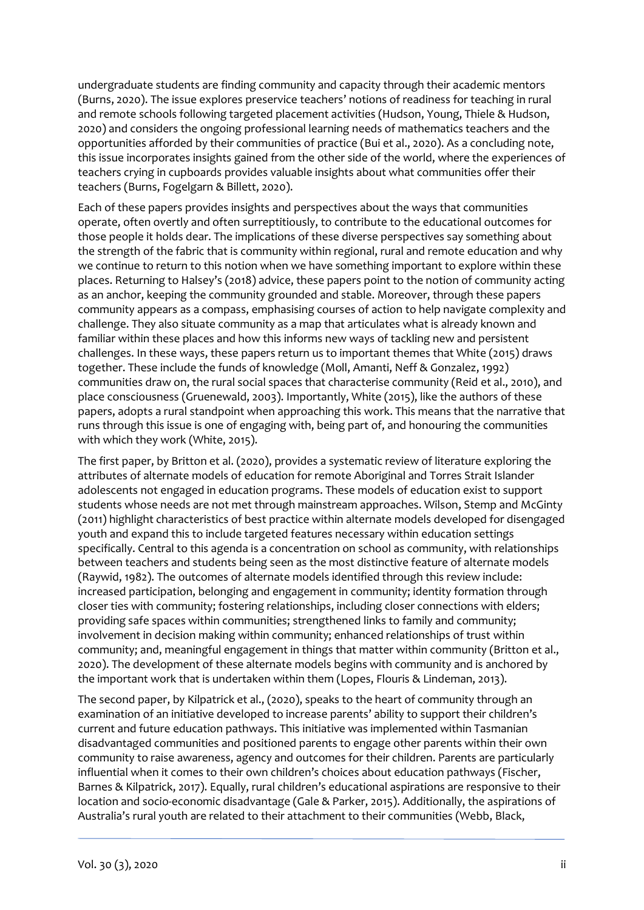undergraduate students are finding community and capacity through their academic mentors (Burns, 2020). The issue explores preservice teachers' notions of readiness for teaching in rural and remote schools following targeted placement activities (Hudson, Young, Thiele & Hudson, 2020) and considers the ongoing professional learning needs of mathematics teachers and the opportunities afforded by their communities of practice (Bui et al., 2020). As a concluding note, this issue incorporates insights gained from the other side of the world, where the experiences of teachers crying in cupboards provides valuable insights about what communities offer their teachers (Burns, Fogelgarn & Billett, 2020).

Each of these papers provides insights and perspectives about the ways that communities operate, often overtly and often surreptitiously, to contribute to the educational outcomes for those people it holds dear. The implications of these diverse perspectives say something about the strength of the fabric that is community within regional, rural and remote education and why we continue to return to this notion when we have something important to explore within these places. Returning to Halsey's (2018) advice, these papers point to the notion of community acting as an anchor, keeping the community grounded and stable. Moreover, through these papers community appears as a compass, emphasising courses of action to help navigate complexity and challenge. They also situate community as a map that articulates what is already known and familiar within these places and how this informs new ways of tackling new and persistent challenges. In these ways, these papers return us to important themes that White (2015) draws together. These include the funds of knowledge (Moll, Amanti, Neff & Gonzalez, 1992) communities draw on, the rural social spaces that characterise community (Reid et al., 2010), and place consciousness (Gruenewald, 2003). Importantly, White (2015), like the authors of these papers, adopts a rural standpoint when approaching this work. This means that the narrative that runs through this issue is one of engaging with, being part of, and honouring the communities with which they work (White, 2015).

The first paper, by Britton et al. (2020), provides a systematic review of literature exploring the attributes of alternate models of education for remote Aboriginal and Torres Strait Islander adolescents not engaged in education programs. These models of education exist to support students whose needs are not met through mainstream approaches. Wilson, Stemp and McGinty (2011) highlight characteristics of best practice within alternate models developed for disengaged youth and expand this to include targeted features necessary within education settings specifically. Central to this agenda is a concentration on school as community, with relationships between teachers and students being seen as the most distinctive feature of alternate models (Raywid, 1982). The outcomes of alternate models identified through this review include: increased participation, belonging and engagement in community; identity formation through closer ties with community; fostering relationships, including closer connections with elders; providing safe spaces within communities; strengthened links to family and community; involvement in decision making within community; enhanced relationships of trust within community; and, meaningful engagement in things that matter within community (Britton et al., 2020). The development of these alternate models begins with community and is anchored by the important work that is undertaken within them (Lopes, Flouris & Lindeman, 2013).

The second paper, by Kilpatrick et al., (2020), speaks to the heart of community through an examination of an initiative developed to increase parents' ability to support their children's current and future education pathways. This initiative was implemented within Tasmanian disadvantaged communities and positioned parents to engage other parents within their own community to raise awareness, agency and outcomes for their children. Parents are particularly influential when it comes to their own children's choices about education pathways (Fischer, Barnes & Kilpatrick, 2017). Equally, rural children's educational aspirations are responsive to their location and socio-economic disadvantage (Gale & Parker, 2015). Additionally, the aspirations of Australia's rural youth are related to their attachment to their communities (Webb, Black,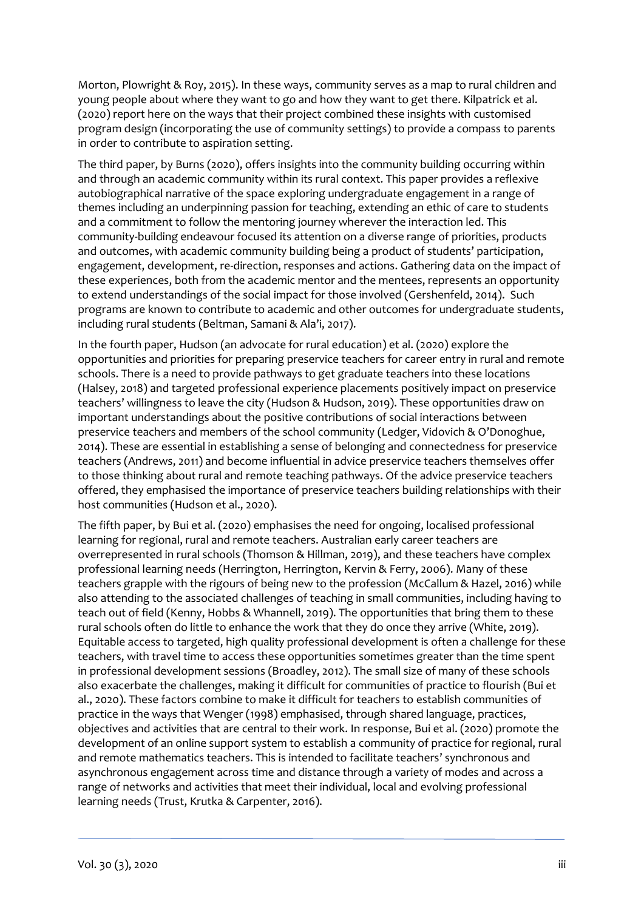Morton, Plowright & Roy, 2015). In these ways, community serves as a map to rural children and young people about where they want to go and how they want to get there. Kilpatrick et al. (2020) report here on the ways that their project combined these insights with customised program design (incorporating the use of community settings) to provide a compass to parents in order to contribute to aspiration setting.

The third paper, by Burns (2020), offers insights into the community building occurring within and through an academic community within its rural context. This paper provides a reflexive autobiographical narrative of the space exploring undergraduate engagement in a range of themes including an underpinning passion for teaching, extending an ethic of care to students and a commitment to follow the mentoring journey wherever the interaction led. This community-building endeavour focused its attention on a diverse range of priorities, products and outcomes, with academic community building being a product of students' participation, engagement, development, re-direction, responses and actions. Gathering data on the impact of these experiences, both from the academic mentor and the mentees, represents an opportunity to extend understandings of the social impact for those involved (Gershenfeld, 2014). Such programs are known to contribute to academic and other outcomes for undergraduate students, including rural students (Beltman, Samani & Ala'i, 2017).

In the fourth paper, Hudson (an advocate for rural education) et al. (2020) explore the opportunities and priorities for preparing preservice teachers for career entry in rural and remote schools. There is a need to provide pathways to get graduate teachers into these locations (Halsey, 2018) and targeted professional experience placements positively impact on preservice teachers' willingness to leave the city (Hudson & Hudson, 2019). These opportunities draw on important understandings about the positive contributions of social interactions between preservice teachers and members of the school community (Ledger, Vidovich & O'Donoghue, 2014). These are essential in establishing a sense of belonging and connectedness for preservice teachers (Andrews, 2011) and become influential in advice preservice teachers themselves offer to those thinking about rural and remote teaching pathways. Of the advice preservice teachers offered, they emphasised the importance of preservice teachers building relationships with their host communities (Hudson et al., 2020).

The fifth paper, by Bui et al. (2020) emphasises the need for ongoing, localised professional learning for regional, rural and remote teachers. Australian early career teachers are overrepresented in rural schools (Thomson & Hillman, 2019), and these teachers have complex professional learning needs (Herrington, Herrington, Kervin & Ferry, 2006). Many of these teachers grapple with the rigours of being new to the profession (McCallum & Hazel, 2016) while also attending to the associated challenges of teaching in small communities, including having to teach out of field (Kenny, Hobbs & Whannell, 2019). The opportunities that bring them to these rural schools often do little to enhance the work that they do once they arrive (White, 2019). Equitable access to targeted, high quality professional development is often a challenge for these teachers, with travel time to access these opportunities sometimes greater than the time spent in professional development sessions (Broadley, 2012). The small size of many of these schools also exacerbate the challenges, making it difficult for communities of practice to flourish (Bui et al., 2020). These factors combine to make it difficult for teachers to establish communities of practice in the ways that Wenger (1998) emphasised, through shared language, practices, objectives and activities that are central to their work. In response, Bui et al. (2020) promote the development of an online support system to establish a community of practice for regional, rural and remote mathematics teachers. This is intended to facilitate teachers' synchronous and asynchronous engagement across time and distance through a variety of modes and across a range of networks and activities that meet their individual, local and evolving professional learning needs (Trust, Krutka & Carpenter, 2016).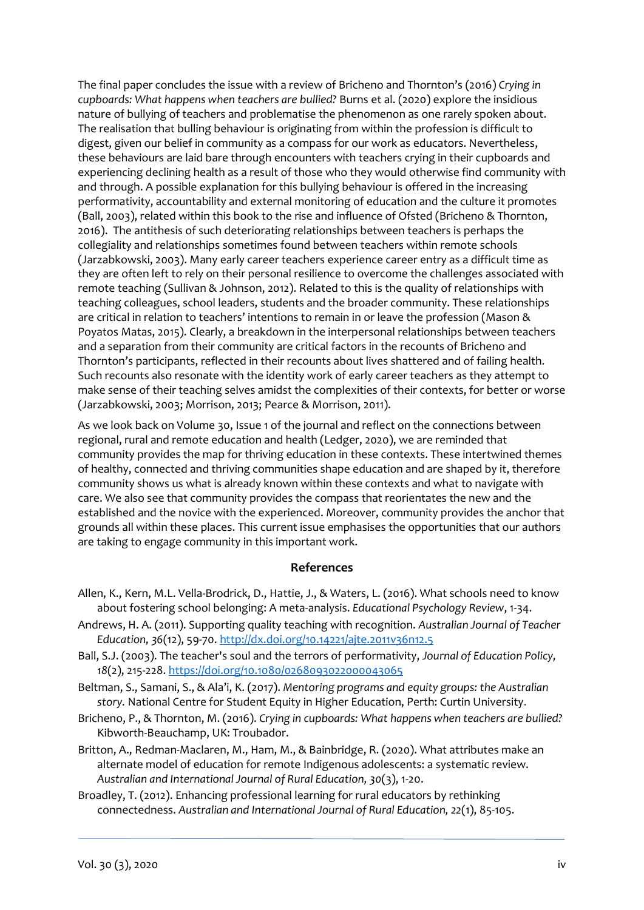The final paper concludes the issue with a review of Bricheno and Thornton's (2016) *Crying in cupboards: What happens when teachers are bullied?* Burns et al. (2020) explore the insidious nature of bullying of teachers and problematise the phenomenon as one rarely spoken about. The realisation that bulling behaviour is originating from within the profession is difficult to digest, given our belief in community as a compass for our work as educators. Nevertheless, these behaviours are laid bare through encounters with teachers crying in their cupboards and experiencing declining health as a result of those who they would otherwise find community with and through. A possible explanation for this bullying behaviour is offered in the increasing performativity, accountability and external monitoring of education and the culture it promotes (Ball, 2003), related within this book to the rise and influence of Ofsted (Bricheno & Thornton, 2016). The antithesis of such deteriorating relationships between teachers is perhaps the collegiality and relationships sometimes found between teachers within remote schools (Jarzabkowski, 2003). Many early career teachers experience career entry as a difficult time as they are often left to rely on their personal resilience to overcome the challenges associated with remote teaching (Sullivan & Johnson, 2012). Related to this is the quality of relationships with teaching colleagues, school leaders, students and the broader community. These relationships are critical in relation to teachers' intentions to remain in or leave the profession (Mason & Poyatos Matas, 2015). Clearly, a breakdown in the interpersonal relationships between teachers and a separation from their community are critical factors in the recounts of Bricheno and Thornton's participants, reflected in their recounts about lives shattered and of failing health. Such recounts also resonate with the identity work of early career teachers as they attempt to make sense of their teaching selves amidst the complexities of their contexts, for better or worse (Jarzabkowski, 2003; Morrison, 2013; Pearce & Morrison, 2011).

As we look back on Volume 30, Issue 1 of the journal and reflect on the connections between regional, rural and remote education and health (Ledger, 2020), we are reminded that community provides the map for thriving education in these contexts. These intertwined themes of healthy, connected and thriving communities shape education and are shaped by it, therefore community shows us what is already known within these contexts and what to navigate with care. We also see that community provides the compass that reorientates the new and the established and the novice with the experienced. Moreover, community provides the anchor that grounds all within these places. This current issue emphasises the opportunities that our authors are taking to engage community in this important work.

#### **References**

- Allen, K., Kern, M.L. Vella-Brodrick, D., Hattie, J., & Waters, L. (2016). What schools need to know about fostering school belonging: A meta-analysis. *Educational Psychology Review*, 1-34.
- Andrews, H. A. (2011). Supporting quality teaching with recognition. *Australian Journal of Teacher Education, 36*(12), 59-70.<http://dx.doi.org/10.14221/ajte.2011v36n12.5>
- Ball, S.J. (2003). The teacher's soul and the terrors of performativity, *Journal of Education Policy, 18*(2), 215-228.<https://doi.org/10.1080/0268093022000043065>
- Beltman, S., Samani, S., & Ala'i, K. (2017). *Mentoring programs and equity groups: the Australian story.* National Centre for Student Equity in Higher Education, Perth: Curtin University.
- Bricheno, P., & Thornton, M. (2016). *Crying in cupboards: What happens when teachers are bullied?* Kibworth-Beauchamp, UK: Troubador.
- Britton, A., Redman-Maclaren, M., Ham, M., & Bainbridge, R. (2020). What attributes make an alternate model of education for remote Indigenous adolescents: a systematic review. *Australian and International Journal of Rural Education, 30*(3), 1-20.
- Broadley, T. (2012). Enhancing professional learning for rural educators by rethinking connectedness. *Australian and International Journal of Rural Education, 22*(1), 85-105.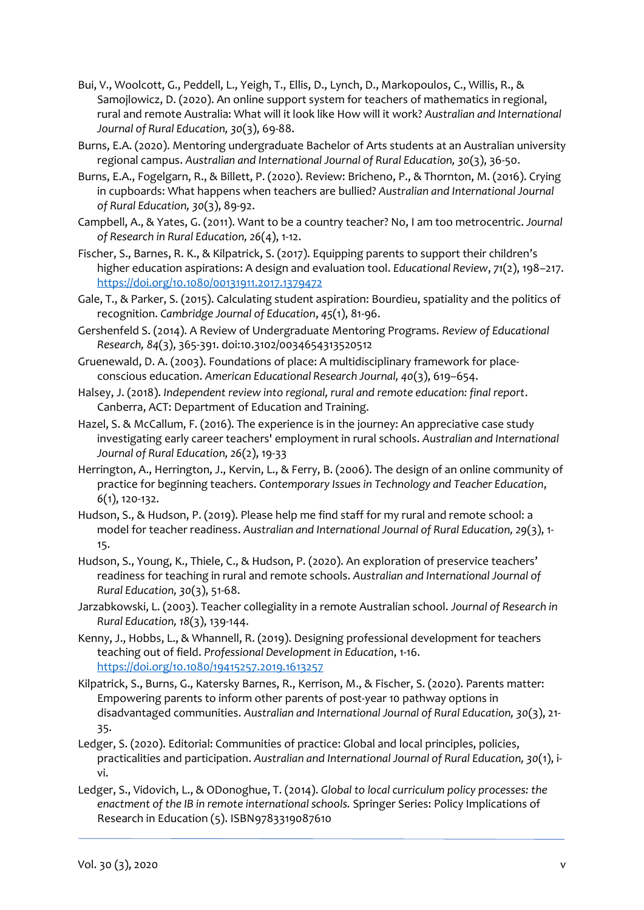- Bui, V., Woolcott, G., Peddell, L., Yeigh, T., Ellis, D., Lynch, D., Markopoulos, C., Willis, R., & Samojlowicz, D. (2020). An online support system for teachers of mathematics in regional, rural and remote Australia: What will it look like How will it work? *Australian and International Journal of Rural Education, 30*(3), 69-88.
- Burns, E.A. (2020). Mentoring undergraduate Bachelor of Arts students at an Australian university regional campus. *Australian and International Journal of Rural Education, 30*(3), 36-50.
- Burns, E.A., Fogelgarn, R., & Billett, P. (2020). Review: Bricheno, P., & Thornton, M. (2016). Crying in cupboards: What happens when teachers are bullied? *Australian and International Journal of Rural Education, 30*(3), 89-92.
- Campbell, A., & Yates, G. (2011). Want to be a country teacher? No, I am too metrocentric. *Journal of Research in Rural Education, 26*(4), 1-12.
- Fischer, S., Barnes, R. K., & Kilpatrick, S. (2017). Equipping parents to support their children's higher education aspirations: A design and evaluation tool. *Educational Review*, *71*(2), 198–217. <https://doi.org/10.1080/00131911.2017.1379472>
- Gale, T., & Parker, S. (2015). Calculating student aspiration: Bourdieu, spatiality and the politics of recognition. *Cambridge Journal of Education*, *45*(1), 81-96.
- Gershenfeld S. (2014). A Review of Undergraduate Mentoring Programs. *Review of Educational Research, 84*(3), 365-391. doi[:10.3102/0034654313520512](https://doi.org/10.3102/0034654313520512)
- Gruenewald, D. A. (2003). Foundations of place: A multidisciplinary framework for placeconscious education. *American Educational Research Journal, 40*(3), 619–654.
- Halsey, J. (2018). *Independent review into regional, rural and remote education: final report*. Canberra, ACT: Department of Education and Training.
- Hazel, S. & McCallum, F. (2016). The experience is in the journey: An appreciative case study investigating early career teachers' employment in rural schools. *Australian and International Journal of Rural Education, 26*(2), 19-33
- Herrington, A., Herrington, J., Kervin, L., & Ferry, B. (2006). The design of an online community of practice for beginning teachers. *Contemporary Issues in Technology and Teacher Education*, *6*(1), 120-132.
- Hudson, S., & Hudson, P. (2019). Please help me find staff for my rural and remote school: a model for teacher readiness. *Australian and International Journal of Rural Education, 29*(3), 1- 15.
- Hudson, S., Young, K., Thiele, C., & Hudson, P. (2020). An exploration of preservice teachers' readiness for teaching in rural and remote schools. *Australian and International Journal of Rural Education, 30*(3), 51-68.
- Jarzabkowski, L. (2003). Teacher collegiality in a remote Australian school. *Journal of Research in Rural Education, 18*(3), 139-144.
- Kenny, J., Hobbs, L., & Whannell, R. (2019). Designing professional development for teachers teaching out of field. *Professional Development in Education*, 1-16. <https://doi.org/10.1080/19415257.2019.1613257>
- Kilpatrick, S., Burns, G., Katersky Barnes, R., Kerrison, M., & Fischer, S. (2020). Parents matter: Empowering parents to inform other parents of post-year 10 pathway options in disadvantaged communities. *Australian and International Journal of Rural Education, 30*(3), 21- 35.
- Ledger, S. (2020). Editorial: Communities of practice: Global and local principles, policies, practicalities and participation. *Australian and International Journal of Rural Education, 30*(1), ivi.
- Ledger, S., Vidovich, L., & ODonoghue, T. (2014). *Global to local curriculum policy processes: the enactment of the IB in remote international schools.* Springer Series: Policy Implications of Research in Education (5). ISBN9783319087610